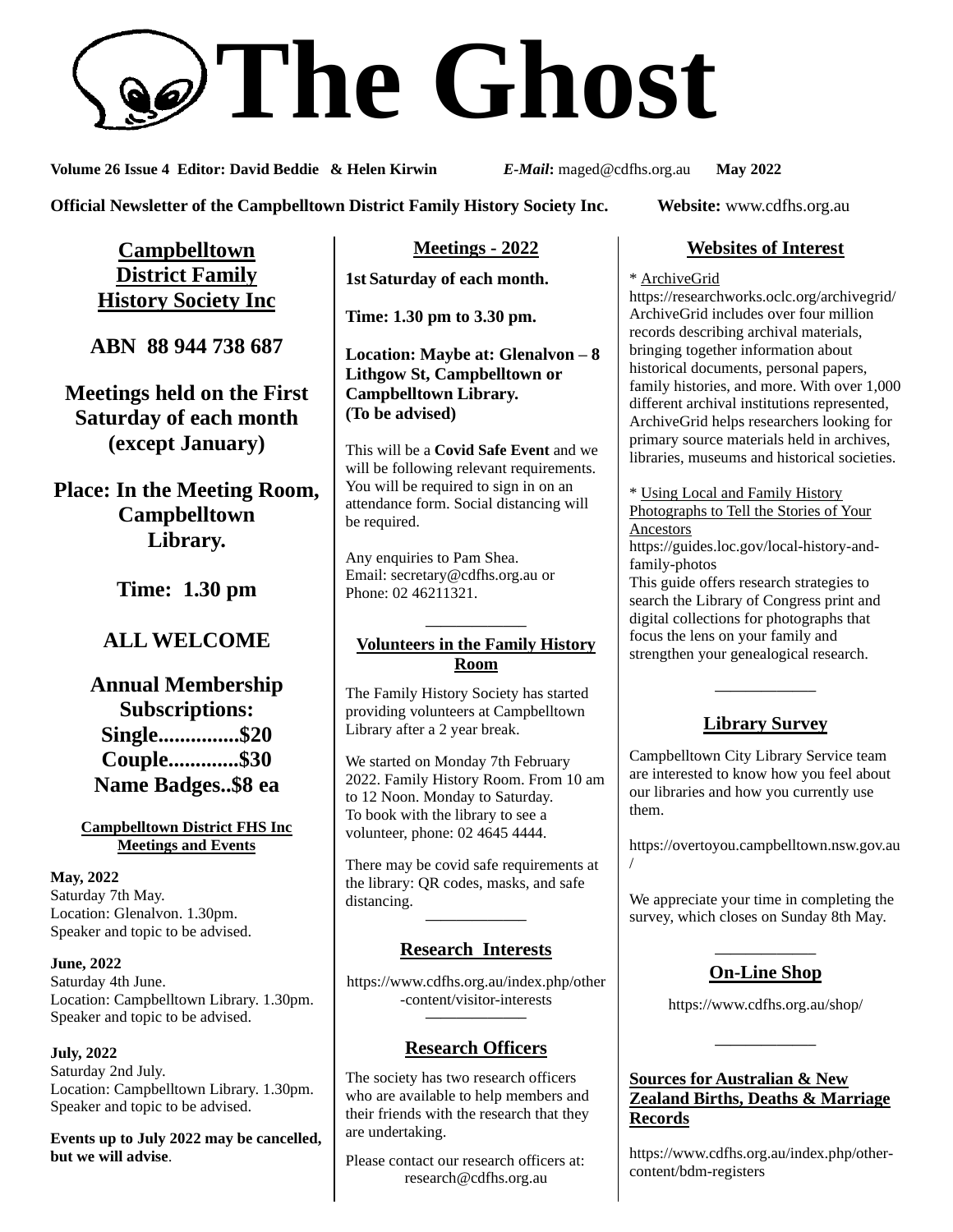# **The Ghost**

**Volume 26 Issue 4 Editor: David Beddie & Helen Kirwin** *E-Mail***:** maged@cdfhs.org.au **May 2022**

**Official Newsletter of the Campbelltown District Family History Society Inc. Website:** www.cdfhs.org.au

**Campbelltown District Family History Society Inc**

**ABN 88 944 738 687**

**Meetings held on the First Saturday of each month (except January)**

**Place: In the Meeting Room, Campbelltown Library.**

**Time: 1.30 pm**

# **ALL WELCOME**

**Annual Membership Subscriptions: Single...............\$20 Couple.............\$30 Name Badges..\$8 ea**

#### **Campbelltown District FHS Inc Meetings and Events**

**May, 2022** Saturday 7th May. Location: Glenalvon. 1.30pm. Speaker and topic to be advised.

**June, 2022** Saturday 4th June. Location: Campbelltown Library. 1.30pm. Speaker and topic to be advised.

#### **July, 2022** Saturday 2nd July. Location: Campbelltown Library. 1.30pm. Speaker and topic to be advised.

**Events up to July 2022 may be cancelled, but we will advise**.

## **Meetings - 2022**

**1st Saturday of each month.**

**Time: 1.30 pm to 3.30 pm.**

**Location: Maybe at: Glenalvon – 8 Lithgow St, Campbelltown or Campbelltown Library. (To be advised)**

This will be a **Covid Safe Event** and we will be following relevant requirements. You will be required to sign in on an attendance form. Social distancing will be required.

Any enquiries to Pam Shea. Email: [secretary@cdfhs.org.au](mailto:secretary@cdfhs.org.au) or Phone: 02 46211321.

#### **——————– Volunteers in the Family History Room**

The Family History Society has started providing volunteers at Campbelltown Library after a 2 year break.

We started on Monday 7th February 2022. Family History Room. From 10 am to 12 Noon. Monday to Saturday. To book with the library to see a volunteer, phone: 02 4645 4444.

There may be covid safe requirements at the library: QR codes, masks, and safe distancing. **——————–**

## **Research Interests**

https://www.cdfhs.org.au/index.php/other -content/visitor-interests **——————–**

# **Research Officers**

The society has two research officers who are available to help members and their friends with the research that they are undertaking.

Please contact our research officers at: research@cdfhs.org.au

## **Websites of Interest**

\* ArchiveGrid

https://researchworks.oclc.org/archivegrid/ ArchiveGrid includes over four million records describing archival materials, bringing together information about historical documents, personal papers, family histories, and more. With over 1,000 different archival institutions represented, ArchiveGrid helps researchers looking for primary source materials held in archives, libraries, museums and historical societies.

\* Using Local and Family History Photographs to Tell the Stories of Your Ancestors https://guides.loc.gov/local-history-and-

family-photos

This guide offers research strategies to search the Library of Congress print and digital collections for photographs that focus the lens on your family and strengthen your genealogical research.

# **Library Survey**

**——————–**

Campbelltown City Library Service team are interested to know how you feel about our libraries and how you currently use them.

https://overtoyou.campbelltown.nsw.gov.au

/

We appreciate your time in completing the survey, which closes on Sunday 8th May.

#### **——————– On-Line Shop**

https://www.cdfhs.org.au/shop/

**——————–**

## **Sources for Australian & New Zealand Births, Deaths & Marriage Records**

https://www.cdfhs.org.au/index.php/othercontent/bdm-registers